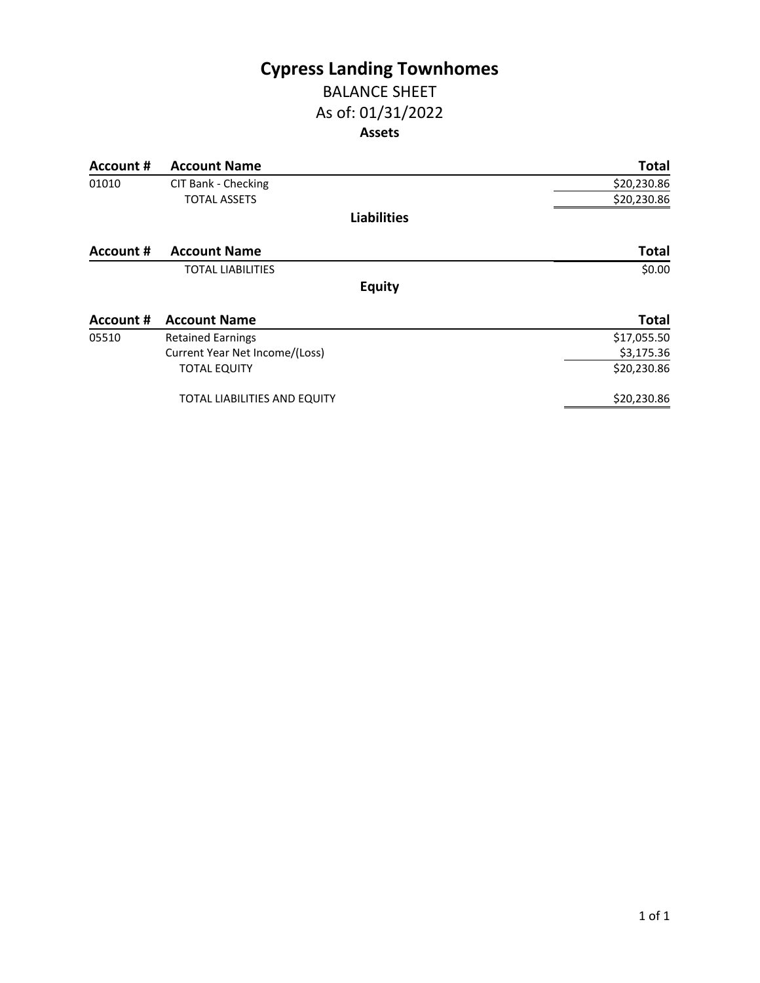## **Cypress Landing Townhomes** BALANCE SHEET

# As of: 01/31/2022 **Assets**

| Account # | <b>Account Name</b>                 | <b>Total</b> |
|-----------|-------------------------------------|--------------|
| 01010     | CIT Bank - Checking                 | \$20,230.86  |
|           | <b>TOTAL ASSETS</b>                 | \$20,230.86  |
|           | <b>Liabilities</b>                  |              |
| Account # | <b>Account Name</b>                 | <b>Total</b> |
|           | <b>TOTAL LIABILITIES</b>            | \$0.00       |
|           | <b>Equity</b>                       |              |
| Account # | <b>Account Name</b>                 | <b>Total</b> |
| 05510     | <b>Retained Earnings</b>            | \$17,055.50  |
|           | Current Year Net Income/(Loss)      | \$3,175.36   |
|           | <b>TOTAL EQUITY</b>                 | \$20,230.86  |
|           | <b>TOTAL LIABILITIES AND EQUITY</b> | \$20,230.86  |